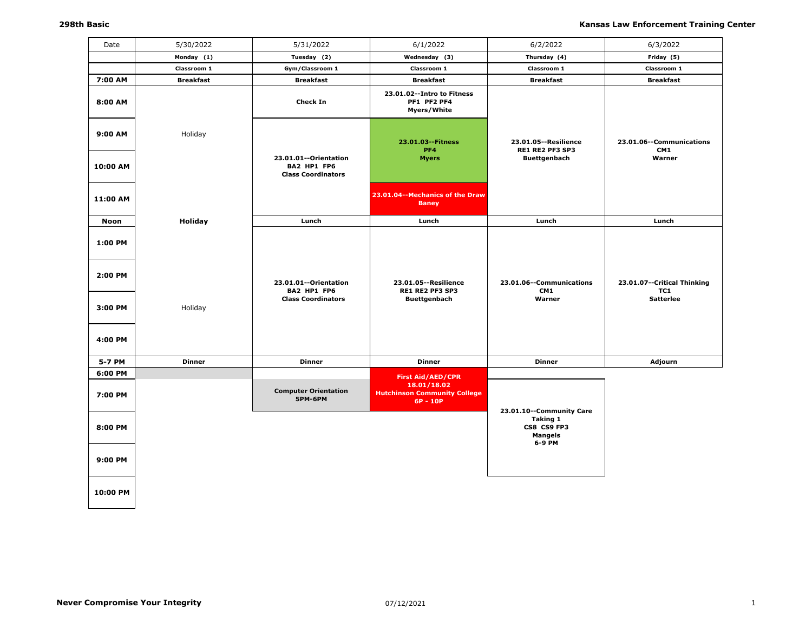| Date               | 5/30/2022        | 5/31/2022                                                         | 6/1/2022                                                       | 6/2/2022                                                   | 6/3/2022                             |
|--------------------|------------------|-------------------------------------------------------------------|----------------------------------------------------------------|------------------------------------------------------------|--------------------------------------|
|                    | Monday (1)       | Tuesday (2)                                                       | Wednesday (3)                                                  | Thursday (4)                                               | Friday (5)                           |
|                    | Classroom 1      | Gym/Classroom 1                                                   | Classroom 1                                                    | Classroom 1                                                | Classroom 1                          |
| 7:00 AM            | <b>Breakfast</b> | <b>Breakfast</b>                                                  | <b>Breakfast</b>                                               | <b>Breakfast</b>                                           | <b>Breakfast</b>                     |
| 8:00 AM            |                  | <b>Check In</b>                                                   | 23.01.02 -- Intro to Fitness<br>PF1 PF2 PF4<br>Myers/White     |                                                            |                                      |
| 9:00 AM            | Holiday          |                                                                   | 23.01.03 -- Fitness<br>PF4                                     | 23.01.05 -- Resilience<br>RE1 RE2 PF3 SP3                  | 23.01.06--Communications<br>CM1      |
| 10:00 AM           |                  | 23.01.01--Orientation<br>BA2 HP1 FP6<br><b>Class Coordinators</b> | <b>Myers</b>                                                   | <b>Buettgenbach</b>                                        | Warner                               |
| 11:00 AM           |                  |                                                                   | 23.01.04--Mechanics of the Draw<br><b>Baney</b>                |                                                            |                                      |
| Noon               | Holiday          | Lunch                                                             | Lunch                                                          | Lunch                                                      | Lunch                                |
| 1:00 PM<br>2:00 PM |                  | 23.01.01--Orientation<br>BA2 HP1 FP6                              | 23.01.05 -- Resilience<br>RE1 RE2 PF3 SP3                      | 23.01.06--Communications<br>CM1                            | 23.01.07 -- Critical Thinking<br>TC1 |
| 3:00 PM<br>4:00 PM | Holiday          | <b>Class Coordinators</b>                                         | <b>Buettgenbach</b>                                            | Warner                                                     | <b>Satterlee</b>                     |
| 5-7 PM             | <b>Dinner</b>    | <b>Dinner</b>                                                     | <b>Dinner</b>                                                  | <b>Dinner</b>                                              | Adjourn                              |
| 6:00 PM            |                  |                                                                   | <b>First Aid/AED/CPR</b>                                       |                                                            |                                      |
| 7:00 PM            |                  | <b>Computer Orientation</b><br><b>5PM-6PM</b>                     | 18.01/18.02<br><b>Hutchinson Community College</b><br>6P - 10P | 23.01.10--Community Care                                   |                                      |
| 8:00 PM            |                  |                                                                   |                                                                | <b>Taking 1</b><br>CS8 CS9 FP3<br><b>Mangels</b><br>6-9 PM |                                      |
| 9:00 PM            |                  |                                                                   |                                                                |                                                            |                                      |
| 10:00 PM           |                  |                                                                   |                                                                |                                                            |                                      |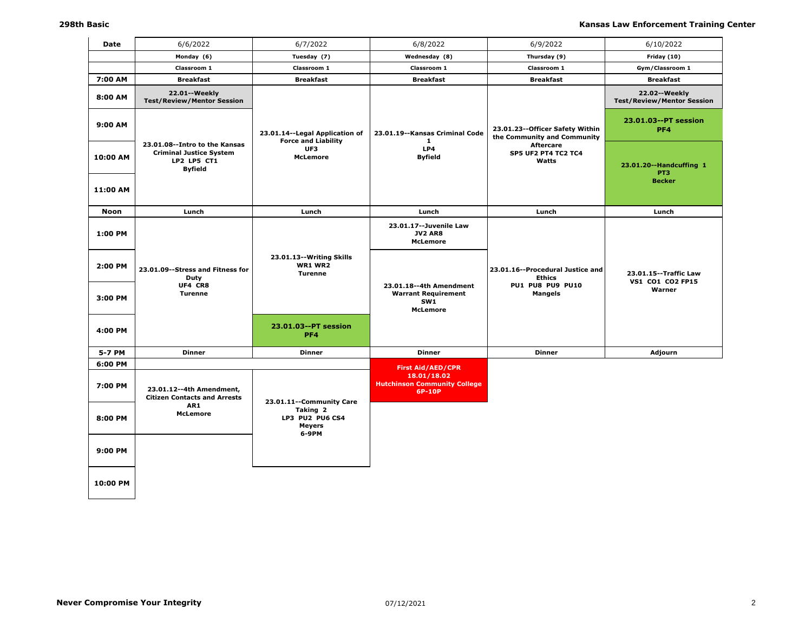| Date        | 6/6/2022                                                                                         | 6/7/2022                                                       | 6/8/2022                                                                                                                     | 6/9/2022                                                         | 6/10/2022                                          |
|-------------|--------------------------------------------------------------------------------------------------|----------------------------------------------------------------|------------------------------------------------------------------------------------------------------------------------------|------------------------------------------------------------------|----------------------------------------------------|
|             | Monday (6)                                                                                       | Tuesday (7)                                                    | Wednesday (8)                                                                                                                | Thursday (9)                                                     | Friday (10)                                        |
|             | Classroom 1                                                                                      | Classroom 1                                                    | Classroom 1                                                                                                                  | Classroom 1                                                      | Gym/Classroom 1                                    |
| 7:00 AM     | <b>Breakfast</b>                                                                                 | <b>Breakfast</b>                                               | <b>Breakfast</b>                                                                                                             | <b>Breakfast</b>                                                 | <b>Breakfast</b>                                   |
| 8:00 AM     | 22.01 -- Weekly<br><b>Test/Review/Mentor Session</b>                                             |                                                                |                                                                                                                              |                                                                  | 22.02--Weekly<br><b>Test/Review/Mentor Session</b> |
| 9:00 AM     |                                                                                                  | 23.01.14 -- Legal Application of<br><b>Force and Liability</b> | 23.01.19--Kansas Criminal Code<br>1                                                                                          | 23.01.23 -- Officer Safety Within<br>the Community and Community | 23.01.03--PT session<br>PF4                        |
| 10:00 AM    | 23.01.08--Intro to the Kansas<br><b>Criminal Justice System</b><br>LP2 LP5 CT1<br><b>Byfield</b> | UF3<br><b>McLemore</b>                                         | LP4<br><b>Byfield</b>                                                                                                        | <b>Aftercare</b><br><b>SP5 UF2 PT4 TC2 TC4</b><br>Watts          | 23.01.20--Handcuffing 1<br>PT3<br><b>Becker</b>    |
| 11:00 AM    |                                                                                                  |                                                                |                                                                                                                              |                                                                  |                                                    |
| <b>Noon</b> | Lunch                                                                                            | Lunch                                                          | Lunch                                                                                                                        | Lunch                                                            | Lunch                                              |
| 1:00 PM     |                                                                                                  |                                                                | 23.01.17 -- Juvenile Law<br><b>JV2 AR8</b><br><b>McLemore</b>                                                                |                                                                  |                                                    |
| 2:00 PM     | 23.01.09 -- Stress and Fitness for<br>Duty                                                       | 23.01.13 -- Writing Skills<br><b>WR1 WR2</b><br><b>Turenne</b> |                                                                                                                              | 23.01.16--Procedural Justice and<br><b>Ethics</b>                | 23.01.15 -- Traffic Law<br>VS1 CO1 CO2 FP15        |
| 3:00 PM     | UF4 CR8<br><b>Turenne</b>                                                                        |                                                                | 23.01.18--4th Amendment<br><b>PU1 PU8 PU9 PU10</b><br><b>Warrant Requirement</b><br><b>Mangels</b><br>SW1<br><b>McLemore</b> |                                                                  | Warner                                             |
| 4:00 PM     |                                                                                                  | 23.01.03--PT session<br>PF <sub>4</sub>                        |                                                                                                                              |                                                                  |                                                    |
| 5-7 PM      | <b>Dinner</b>                                                                                    | <b>Dinner</b>                                                  | <b>Dinner</b>                                                                                                                | <b>Dinner</b>                                                    | Adjourn                                            |
| 6:00 PM     |                                                                                                  |                                                                | <b>First Aid/AED/CPR</b>                                                                                                     |                                                                  |                                                    |
| 7:00 PM     | 23.01.12--4th Amendment,<br><b>Citizen Contacts and Arrests</b><br>AR1                           | 23.01.11 -- Community Care                                     | 18.01/18.02<br><b>Hutchinson Community College</b><br>6P-10P                                                                 |                                                                  |                                                    |
| 8:00 PM     | <b>McLemore</b>                                                                                  | Taking 2<br>LP3 PU2 PU6 CS4<br><b>Meyers</b><br>6-9PM          |                                                                                                                              |                                                                  |                                                    |
| 9:00 PM     |                                                                                                  |                                                                |                                                                                                                              |                                                                  |                                                    |
| 10:00 PM    |                                                                                                  |                                                                |                                                                                                                              |                                                                  |                                                    |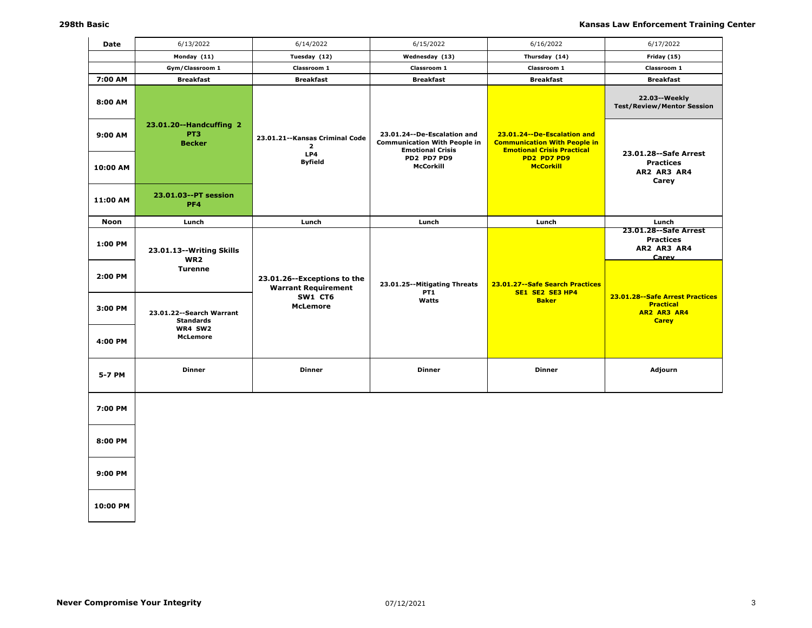| Date     | 6/13/2022                                                   | 6/14/2022                                                   | 6/15/2022                                                                                       | 6/16/2022                                                                                               | 6/17/2022                                                                            |
|----------|-------------------------------------------------------------|-------------------------------------------------------------|-------------------------------------------------------------------------------------------------|---------------------------------------------------------------------------------------------------------|--------------------------------------------------------------------------------------|
|          | Monday (11)                                                 | Tuesday (12)                                                | Wednesday (13)                                                                                  | Thursday (14)                                                                                           | Friday (15)                                                                          |
|          | Gym/Classroom 1                                             | Classroom 1                                                 | Classroom 1                                                                                     | Classroom 1                                                                                             | Classroom 1                                                                          |
| 7:00 AM  | <b>Breakfast</b>                                            | <b>Breakfast</b>                                            | <b>Breakfast</b>                                                                                | <b>Breakfast</b>                                                                                        | <b>Breakfast</b>                                                                     |
| 8:00 AM  |                                                             |                                                             |                                                                                                 |                                                                                                         | 22.03--Weekly<br><b>Test/Review/Mentor Session</b>                                   |
| 9:00 AM  | 23.01.20--Handcuffing 2<br>PT <sub>3</sub><br><b>Becker</b> | 23.01.21 -- Kansas Criminal Code<br>$\overline{2}$<br>LP4   | 23.01.24 -- De-Escalation and<br><b>Communication With People in</b><br><b>Emotional Crisis</b> | 23.01.24--De-Escalation and<br><b>Communication With People in</b><br><b>Emotional Crisis Practical</b> | 23.01.28 -- Safe Arrest                                                              |
| 10:00 AM |                                                             | <b>Byfield</b>                                              | PD2 PD7 PD9<br>McCorkill                                                                        | PD2 PD7 PD9<br><b>McCorkill</b>                                                                         | <b>Practices</b><br>AR2 AR3 AR4<br>Carey                                             |
| 11:00 AM | 23.01.03--PT session<br>PF4                                 |                                                             |                                                                                                 |                                                                                                         |                                                                                      |
| Noon     | Lunch                                                       | Lunch                                                       | Lunch                                                                                           | Lunch                                                                                                   | Lunch                                                                                |
| 1:00 PM  | 23.01.13--Writing Skills<br>WR <sub>2</sub>                 |                                                             |                                                                                                 |                                                                                                         | 23.01.28 -- Safe Arrest<br><b>Practices</b><br>AR2 AR3 AR4<br>Carev                  |
| 2:00 PM  | <b>Turenne</b>                                              | 23.01.26 -- Exceptions to the<br><b>Warrant Requirement</b> | 23.01.25--Mitigating Threats<br>PT <sub>1</sub>                                                 | 23.01.27 -- Safe Search Practices<br>SE1 SE2 SE3 HP4                                                    |                                                                                      |
| 3:00 PM  | 23.01.22 -- Search Warrant<br><b>Standards</b>              | SW1 CT6<br><b>McLemore</b>                                  | Watts                                                                                           | <b>Baker</b>                                                                                            | 23.01.28 -- Safe Arrest Practices<br><b>Practical</b><br>AR2 AR3 AR4<br><b>Carey</b> |
| 4:00 PM  | WR4 SW2<br><b>McLemore</b>                                  |                                                             |                                                                                                 |                                                                                                         |                                                                                      |
| 5-7 PM   | <b>Dinner</b>                                               | <b>Dinner</b>                                               | <b>Dinner</b>                                                                                   | <b>Dinner</b>                                                                                           | Adjourn                                                                              |
| 7:00 PM  |                                                             |                                                             |                                                                                                 |                                                                                                         |                                                                                      |
| 8:00 PM  |                                                             |                                                             |                                                                                                 |                                                                                                         |                                                                                      |
| 9:00 PM  |                                                             |                                                             |                                                                                                 |                                                                                                         |                                                                                      |
| 10:00 PM |                                                             |                                                             |                                                                                                 |                                                                                                         |                                                                                      |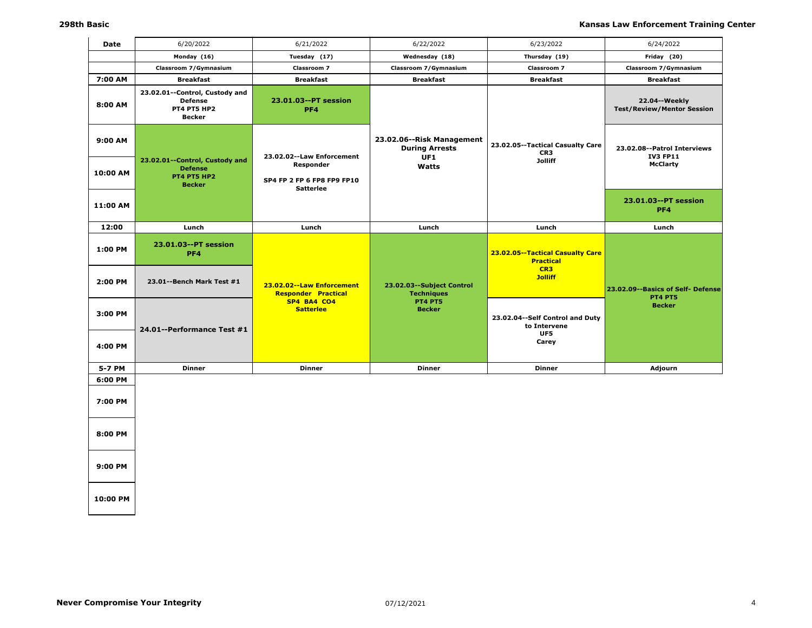| Date     | 6/20/2022                                                                               | 6/21/2022                                                   | 6/22/2022                                                 | 6/23/2022                                            | 6/24/2022                                            |
|----------|-----------------------------------------------------------------------------------------|-------------------------------------------------------------|-----------------------------------------------------------|------------------------------------------------------|------------------------------------------------------|
|          | Monday (16)                                                                             | Tuesday (17)                                                | Wednesday (18)                                            | Thursday (19)                                        | Friday (20)                                          |
|          | Classroom 7/Gymnasium                                                                   | Classroom 7                                                 | Classroom 7/Gymnasium                                     | <b>Classroom 7</b>                                   | Classroom 7/Gymnasium                                |
| 7:00 AM  | <b>Breakfast</b>                                                                        | <b>Breakfast</b>                                            | <b>Breakfast</b>                                          | <b>Breakfast</b>                                     | <b>Breakfast</b>                                     |
| 8:00 AM  | 23.02.01--Control, Custody and<br><b>Defense</b><br><b>PT4 PT5 HP2</b><br><b>Becker</b> | 23.01.03--PT session<br>PF4                                 |                                                           |                                                      | 22.04 -- Weekly<br><b>Test/Review/Mentor Session</b> |
| 9:00 AM  |                                                                                         | 23.02.02 -- Law Enforcement                                 | 23.02.06--Risk Management<br><b>During Arrests</b><br>UF1 | 23.02.05--Tactical Casualty Care<br>CR <sub>3</sub>  | 23.02.08--Patrol Interviews<br><b>IV3 FP11</b>       |
| 10:00 AM | 23.02.01--Control, Custody and<br><b>Defense</b><br>PT4 PT5 HP2<br><b>Becker</b>        | Responder<br>SP4 FP 2 FP 6 FP8 FP9 FP10<br><b>Satterlee</b> | Watts                                                     | <b>Jolliff</b>                                       | <b>McClarty</b>                                      |
| 11:00 AM |                                                                                         |                                                             |                                                           |                                                      | 23.01.03--PT session<br>PF4                          |
| 12:00    | Lunch                                                                                   | Lunch                                                       | Lunch                                                     | Lunch                                                | Lunch                                                |
| 1:00 PM  | 23.01.03--PT session<br>PF4                                                             |                                                             |                                                           | 23.02.05--Tactical Casualty Care<br><b>Practical</b> |                                                      |
| 2:00 PM  | 23.01--Bench Mark Test #1                                                               | 23.02.02--Law Enforcement<br><b>Responder Practical</b>     | 23.02.03 -- Subject Control<br><b>Techniques</b>          | CR3<br><b>Jolliff</b>                                | 23.02.09--Basics of Self- Defense<br><b>PT4 PT5</b>  |
| 3:00 PM  | 24.01--Performance Test #1                                                              | SP4 BA4 CO4<br><b>Satterlee</b>                             | <b>PT4 PT5</b><br><b>Becker</b>                           | 23.02.04--Self Control and Duty<br>to Intervene      | <b>Becker</b>                                        |
| 4:00 PM  |                                                                                         |                                                             |                                                           | UF5<br>Carey                                         |                                                      |
| 5-7 PM   | <b>Dinner</b>                                                                           | <b>Dinner</b>                                               | <b>Dinner</b>                                             | <b>Dinner</b>                                        | Adjourn                                              |
| 6:00 PM  |                                                                                         |                                                             |                                                           |                                                      |                                                      |
| 7:00 PM  |                                                                                         |                                                             |                                                           |                                                      |                                                      |
| 8:00 PM  |                                                                                         |                                                             |                                                           |                                                      |                                                      |
| 9:00 PM  |                                                                                         |                                                             |                                                           |                                                      |                                                      |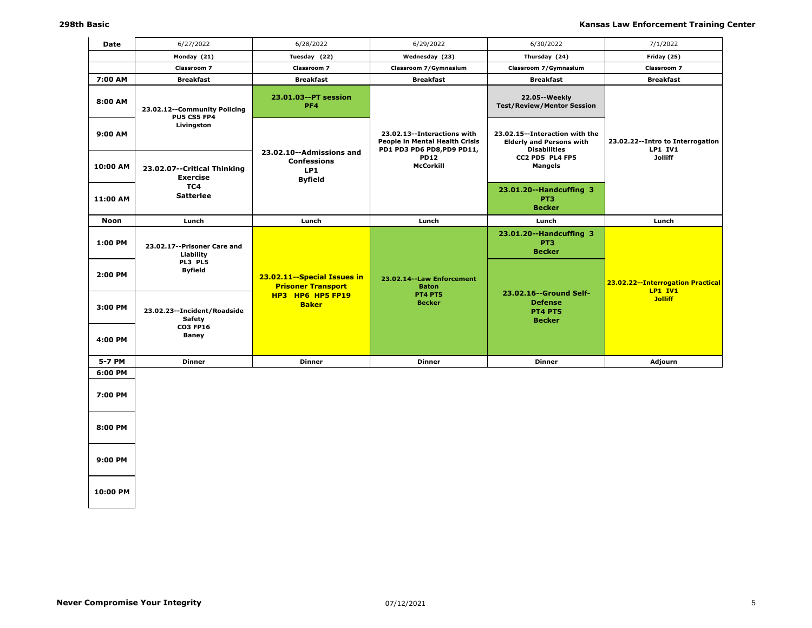| Date        | 6/27/2022                                                  | 6/28/2022                                                               | 6/29/2022                                                                                   | 6/30/2022                                                                                | 7/1/2022                                            |
|-------------|------------------------------------------------------------|-------------------------------------------------------------------------|---------------------------------------------------------------------------------------------|------------------------------------------------------------------------------------------|-----------------------------------------------------|
|             | Monday (21)                                                | Tuesday (22)                                                            | Wednesday (23)                                                                              | Thursday (24)                                                                            | Friday (25)                                         |
|             | Classroom 7                                                | Classroom 7                                                             | Classroom 7/Gymnasium                                                                       | Classroom 7/Gymnasium                                                                    | Classroom 7                                         |
| 7:00 AM     | <b>Breakfast</b>                                           | <b>Breakfast</b>                                                        | <b>Breakfast</b>                                                                            | <b>Breakfast</b>                                                                         | <b>Breakfast</b>                                    |
| 8:00 AM     | 23.02.12--Community Policing<br>PU5 CS5 FP4                | 23.01.03--PT session<br>PF4                                             |                                                                                             | 22.05 -- Weekly<br><b>Test/Review/Mentor Session</b>                                     |                                                     |
| 9:00 AM     | Livingston                                                 |                                                                         | 23.02.13--Interactions with<br>People in Mental Health Crisis<br>PD1 PD3 PD6 PD8, PD9 PD11, | 23.02.15--Interaction with the<br><b>Elderly and Persons with</b><br><b>Disabilities</b> | 23.02.22--Intro to Interrogation<br><b>LP1 IV1</b>  |
| 10:00 AM    | 23.02.07--Critical Thinking<br>Exercise                    | 23.02.10--Admissions and<br><b>Confessions</b><br>LP1<br><b>Byfield</b> | <b>PD12</b><br>McCorkill                                                                    | CC2 PD5 PL4 FP5<br><b>Mangels</b>                                                        | <b>Jolliff</b>                                      |
| 11:00 AM    | TC4<br><b>Satterlee</b>                                    |                                                                         |                                                                                             | 23.01.20--Handcuffing 3<br>PT <sub>3</sub><br><b>Becker</b>                              |                                                     |
| <b>Noon</b> | Lunch                                                      | Lunch                                                                   | Lunch                                                                                       | Lunch                                                                                    | Lunch                                               |
| 1:00 PM     | 23.02.17 -- Prisoner Care and<br>Liability<br>PL3 PL5      |                                                                         |                                                                                             | 23.01.20--Handcuffing 3<br>PT <sub>3</sub><br><b>Becker</b>                              |                                                     |
| 2:00 PM     | <b>Byfield</b>                                             | 23.02.11 -- Special Issues in<br><b>Prisoner Transport</b>              | 23.02.14 -- Law Enforcement<br><b>Baton</b>                                                 | 23.02.16--Ground Self-                                                                   | 23.02.22--Interrogation Practical<br><b>LP1 IV1</b> |
| 3:00 PM     | 23.02.23 -- Incident/Roadside<br>Safety<br><b>CO3 FP16</b> | HP3 HP6 HP5 FP19<br><b>Baker</b>                                        | <b>PT4 PT5</b><br><b>Becker</b>                                                             | <b>Defense</b><br><b>PT4 PT5</b><br><b>Becker</b>                                        | <b>Jolliff</b>                                      |
| 4:00 PM     | <b>Baney</b>                                               |                                                                         |                                                                                             |                                                                                          |                                                     |
| 5-7 PM      | <b>Dinner</b>                                              | <b>Dinner</b>                                                           | <b>Dinner</b>                                                                               | <b>Dinner</b>                                                                            | Adjourn                                             |
| 6:00 PM     |                                                            |                                                                         |                                                                                             |                                                                                          |                                                     |
| 7:00 PM     |                                                            |                                                                         |                                                                                             |                                                                                          |                                                     |
| 8:00 PM     |                                                            |                                                                         |                                                                                             |                                                                                          |                                                     |
| 9:00 PM     |                                                            |                                                                         |                                                                                             |                                                                                          |                                                     |
|             |                                                            |                                                                         |                                                                                             |                                                                                          |                                                     |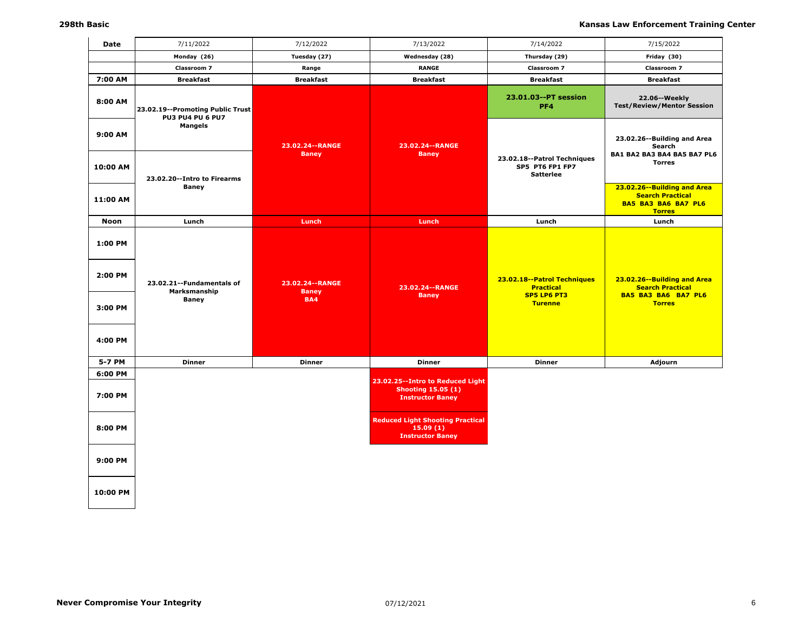| Date                                     | 7/11/2022                                                   | 7/12/2022                                       | 7/13/2022                                                                                  | 7/14/2022                                                                               | 7/15/2022                                                                                             |
|------------------------------------------|-------------------------------------------------------------|-------------------------------------------------|--------------------------------------------------------------------------------------------|-----------------------------------------------------------------------------------------|-------------------------------------------------------------------------------------------------------|
|                                          | Monday (26)                                                 | Tuesday (27)                                    | Wednesday (28)                                                                             | Thursday (29)                                                                           | Friday (30)                                                                                           |
|                                          | <b>Classroom 7</b>                                          | Range                                           | <b>RANGE</b>                                                                               | <b>Classroom 7</b>                                                                      | <b>Classroom 7</b>                                                                                    |
| 7:00 AM                                  | <b>Breakfast</b>                                            | <b>Breakfast</b>                                | <b>Breakfast</b>                                                                           | <b>Breakfast</b>                                                                        | <b>Breakfast</b>                                                                                      |
| 8:00 AM                                  | 23.02.19--Promoting Public Trust<br><b>PU3 PU4 PU 6 PU7</b> |                                                 |                                                                                            | 23.01.03--PT session<br>PF4                                                             | 22.06--Weekly<br><b>Test/Review/Mentor Session</b>                                                    |
| 9:00 AM<br>10:00 AM                      | <b>Mangels</b>                                              | 23.02.24 -- RANGE<br><b>Baney</b>               | 23.02.24 -- RANGE<br><b>Baney</b>                                                          | 23.02.18--Patrol Techniques<br>SP5 PT6 FP1 FP7                                          | 23.02.26 -- Building and Area<br>Search<br>BA1 BA2 BA3 BA4 BA5 BA7 PL6<br><b>Torres</b>               |
| 11:00 AM                                 | 23.02.20--Intro to Firearms<br><b>Baney</b>                 |                                                 |                                                                                            | <b>Satterlee</b>                                                                        | 23.02.26--Building and Area<br><b>Search Practical</b><br><b>BA5 BA3 BA6 BA7 PL6</b><br><b>Torres</b> |
| <b>Noon</b>                              | Lunch                                                       | Lunch                                           | Lunch                                                                                      | Lunch                                                                                   | Lunch                                                                                                 |
| 1:00 PM<br>2:00 PM<br>3:00 PM<br>4:00 PM | 23.02.21 -- Fundamentals of<br>Marksmanship<br><b>Baney</b> | 23.02.24 -- RANGE<br><b>Baney</b><br><b>BA4</b> | 23.02.24 -- RANGE<br><b>Baney</b>                                                          | 23.02.18--Patrol Techniques<br><b>Practical</b><br><b>SP5 LP6 PT3</b><br><b>Turenne</b> | 23.02.26--Building and Area<br><b>Search Practical</b><br><b>BA5 BA3 BA6 BA7 PL6</b><br><b>Torres</b> |
| 5-7 PM                                   | <b>Dinner</b>                                               | <b>Dinner</b>                                   | <b>Dinner</b>                                                                              | <b>Dinner</b>                                                                           | Adjourn                                                                                               |
| 6:00 PM<br>7:00 PM                       |                                                             |                                                 | 23.02.25 -- Intro to Reduced Light<br><b>Shooting 15.05 (1)</b><br><b>Instructor Baney</b> |                                                                                         |                                                                                                       |
| 8:00 PM                                  |                                                             |                                                 | <b>Reduced Light Shooting Practical</b><br>15.09(1)<br><b>Instructor Baney</b>             |                                                                                         |                                                                                                       |
| 9:00 PM                                  |                                                             |                                                 |                                                                                            |                                                                                         |                                                                                                       |
| 10:00 PM                                 |                                                             |                                                 |                                                                                            |                                                                                         |                                                                                                       |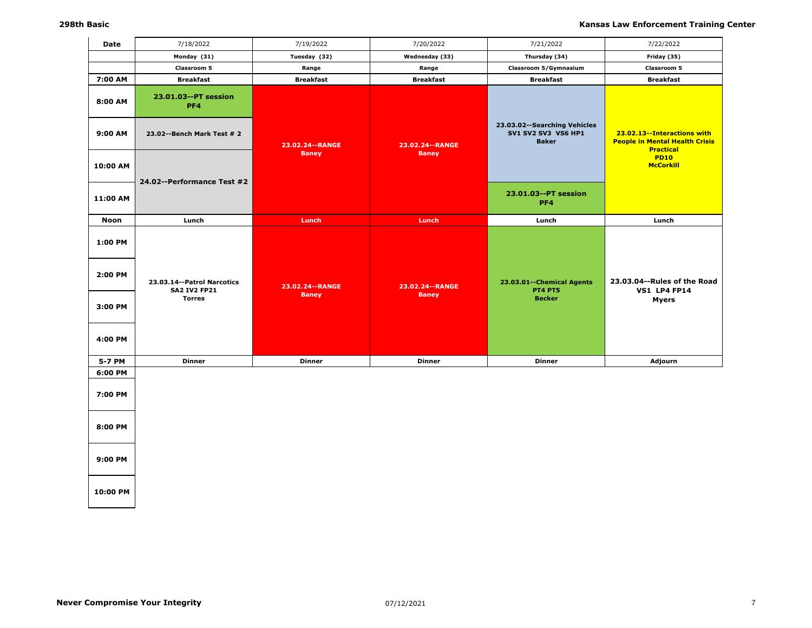| Date     | 7/18/2022                                         | 7/19/2022         | 7/20/2022         | 7/21/2022                                                                    | 7/22/2022                                                                                |
|----------|---------------------------------------------------|-------------------|-------------------|------------------------------------------------------------------------------|------------------------------------------------------------------------------------------|
|          | Monday (31)                                       | Tuesday (32)      | Wednesday (33)    | Thursday (34)                                                                | Friday (35)                                                                              |
|          | Classroom 5                                       | Range             | Range             | Classroom 5/Gymnasium                                                        | Classroom 5                                                                              |
| 7:00 AM  | <b>Breakfast</b>                                  | <b>Breakfast</b>  | <b>Breakfast</b>  | <b>Breakfast</b>                                                             | <b>Breakfast</b>                                                                         |
| 8:00 AM  | 23.01.03--PT session<br>PF4                       |                   |                   |                                                                              |                                                                                          |
| 9:00 AM  | 23.02--Bench Mark Test # 2                        | 23.02.24 -- RANGE | 23.02.24 -- RANGE | 23.03.02 -- Searching Vehicles<br><b>SV1 SV2 SV3 VS6 HP1</b><br><b>Baker</b> | 23.02.13--Interactions with<br><b>People in Mental Health Crisis</b><br><b>Practical</b> |
| 10:00 AM | 24.02--Performance Test #2                        | <b>Baney</b>      | <b>Baney</b>      |                                                                              | <b>PD10</b><br><b>McCorkill</b>                                                          |
| 11:00 AM |                                                   |                   |                   | 23.01.03--PT session<br>PF4                                                  |                                                                                          |
| Noon     | Lunch                                             | Lunch             | Lunch             | Lunch                                                                        | Lunch                                                                                    |
| 1:00 PM  |                                                   |                   |                   |                                                                              |                                                                                          |
| 2:00 PM  | 23.03.14--Patrol Narcotics<br><b>SA2 IV2 FP21</b> | 23.02.24 -- RANGE | 23.02.24 -- RANGE | 23.03.01 -- Chemical Agents<br><b>PT4 PT5</b>                                | 23.03.04 -- Rules of the Road<br><b>VS1 LP4 FP14</b>                                     |
| 3:00 PM  | <b>Torres</b>                                     | <b>Baney</b>      | <b>Baney</b>      | <b>Becker</b>                                                                | <b>Myers</b>                                                                             |
| 4:00 PM  |                                                   |                   |                   |                                                                              |                                                                                          |
| 5-7 PM   | <b>Dinner</b>                                     | <b>Dinner</b>     | <b>Dinner</b>     | <b>Dinner</b>                                                                | Adjourn                                                                                  |
| 6:00 PM  |                                                   |                   |                   |                                                                              |                                                                                          |
| 7:00 PM  |                                                   |                   |                   |                                                                              |                                                                                          |
| 8:00 PM  |                                                   |                   |                   |                                                                              |                                                                                          |
| 9:00 PM  |                                                   |                   |                   |                                                                              |                                                                                          |
|          |                                                   |                   |                   |                                                                              |                                                                                          |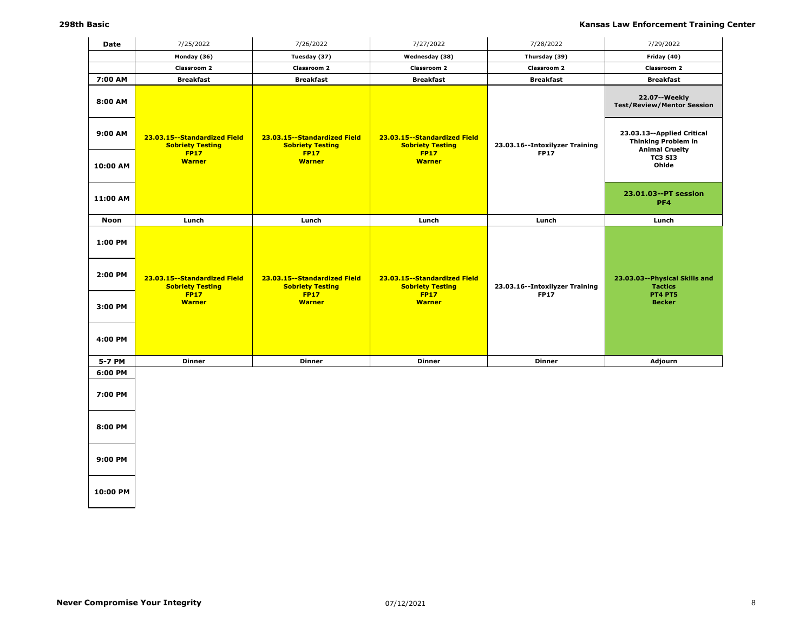| <b>Date</b> | 7/25/2022                                                                | 7/26/2022                                                              | 7/27/2022                                                                | 7/28/2022                                     | 7/29/2022                                                                         |
|-------------|--------------------------------------------------------------------------|------------------------------------------------------------------------|--------------------------------------------------------------------------|-----------------------------------------------|-----------------------------------------------------------------------------------|
|             | Monday (36)                                                              | Tuesday (37)                                                           | Wednesday (38)                                                           | Thursday (39)                                 | Friday (40)                                                                       |
|             | Classroom 2                                                              | Classroom 2                                                            | Classroom 2                                                              | <b>Classroom 2</b>                            | Classroom 2                                                                       |
| 7:00 AM     | <b>Breakfast</b>                                                         | <b>Breakfast</b>                                                       | <b>Breakfast</b>                                                         | <b>Breakfast</b>                              | <b>Breakfast</b>                                                                  |
| 8:00 AM     |                                                                          |                                                                        |                                                                          |                                               | 22.07--Weekly<br><b>Test/Review/Mentor Session</b>                                |
| 9:00 AM     | 23.03.15 -- Standardized Field<br><b>Sobriety Testing</b><br><b>FP17</b> | 23.03.15--Standardized Field<br><b>Sobriety Testing</b><br><b>FP17</b> | 23.03.15 -- Standardized Field<br><b>Sobriety Testing</b><br><b>FP17</b> | 23.03.16--Intoxilyzer Training<br><b>FP17</b> | 23.03.13--Applied Critical<br><b>Thinking Problem in</b><br><b>Animal Cruelty</b> |
| 10:00 AM    | <b>Warner</b>                                                            | <b>Warner</b>                                                          | <b>Warner</b>                                                            |                                               | <b>TC3 SI3</b><br>Ohlde                                                           |
| 11:00 AM    |                                                                          |                                                                        |                                                                          |                                               | 23.01.03--PT session<br>PF4                                                       |
| Noon        | Lunch                                                                    | Lunch                                                                  | Lunch                                                                    | Lunch                                         | Lunch                                                                             |
| 1:00 PM     |                                                                          |                                                                        |                                                                          |                                               |                                                                                   |
| 2:00 PM     | 23.03.15 -- Standardized Field<br><b>Sobriety Testing</b>                | 23.03.15 -- Standardized Field<br><b>Sobriety Testing</b>              | 23.03.15 -- Standardized Field<br><b>Sobriety Testing</b>                | 23.03.16 -- Intoxilyzer Training              | 23.03.03--Physical Skills and<br><b>Tactics</b>                                   |
| 3:00 PM     | <b>FP17</b><br><b>Warner</b>                                             | <b>FP17</b><br><b>Warner</b>                                           | <b>FP17</b><br><b>Warner</b>                                             | <b>FP17</b>                                   | <b>PT4 PT5</b><br><b>Becker</b>                                                   |
| 4:00 PM     |                                                                          |                                                                        |                                                                          |                                               |                                                                                   |
| 5-7 PM      | <b>Dinner</b>                                                            | <b>Dinner</b>                                                          | <b>Dinner</b>                                                            | <b>Dinner</b>                                 | Adjourn                                                                           |
| 6:00 PM     |                                                                          |                                                                        |                                                                          |                                               |                                                                                   |
| 7:00 PM     |                                                                          |                                                                        |                                                                          |                                               |                                                                                   |
| 8:00 PM     |                                                                          |                                                                        |                                                                          |                                               |                                                                                   |
| 9:00 PM     |                                                                          |                                                                        |                                                                          |                                               |                                                                                   |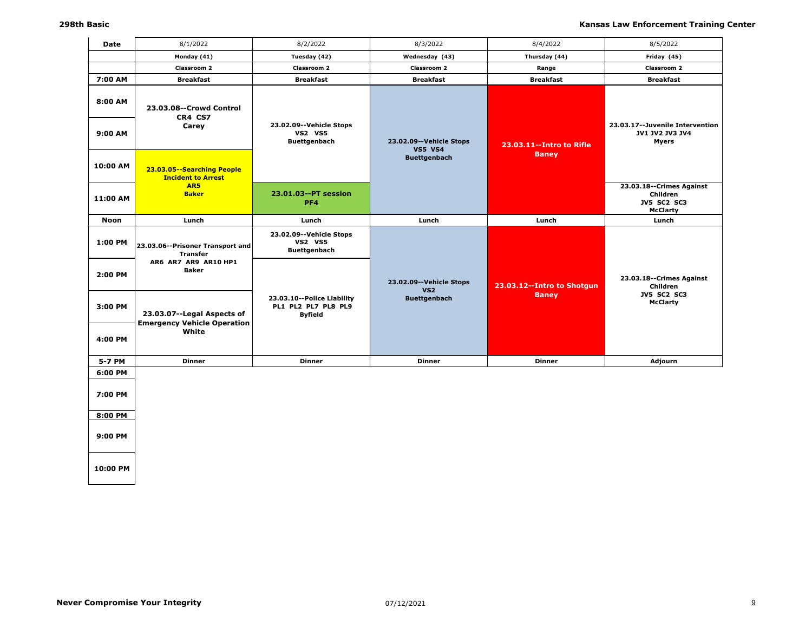| Date               | 8/1/2022                                                         | 8/2/2022                                                            | 8/3/2022                                     | 8/4/2022                                   | 8/5/2022                                                                        |
|--------------------|------------------------------------------------------------------|---------------------------------------------------------------------|----------------------------------------------|--------------------------------------------|---------------------------------------------------------------------------------|
|                    | Monday (41)                                                      | Tuesday (42)                                                        | Wednesday (43)                               | Thursday (44)                              | Friday (45)                                                                     |
|                    | Classroom 2                                                      | <b>Classroom 2</b>                                                  | <b>Classroom 2</b>                           | Range                                      | Classroom 2                                                                     |
| 7:00 AM            | Breakfast                                                        | <b>Breakfast</b>                                                    | <b>Breakfast</b>                             | <b>Breakfast</b>                           | <b>Breakfast</b>                                                                |
| 8:00 AM<br>9:00 AM | 23.03.08--Crowd Control<br>CR4 CS7<br>Carey                      | 23.02.09 -- Vehicle Stops<br><b>VS2 VS5</b>                         |                                              |                                            | 23.03.17--Juvenile Intervention<br><b>JV1 JV2 JV3 JV4</b>                       |
|                    |                                                                  | <b>Buettgenbach</b>                                                 | 23.02.09--Vehicle Stops                      |                                            | <b>Myers</b>                                                                    |
| 10:00 AM           | 23.03.05--Searching People<br><b>Incident to Arrest</b><br>AR5   |                                                                     | <b>VS5 VS4</b><br><b>Buettgenbach</b>        | 23.03.11 -- Intro to Rifle<br><b>Baney</b> |                                                                                 |
| 11:00 AM           | <b>Baker</b>                                                     | 23.01.03--PT session<br>PF4                                         |                                              |                                            | 23.03.18 -- Crimes Against<br>Children<br><b>JV5 SC2 SC3</b><br><b>McClarty</b> |
| Noon               | Lunch                                                            | Lunch                                                               | Lunch                                        | Lunch                                      | Lunch                                                                           |
| 1:00 PM            | 23.03.06--Prisoner Transport and<br><b>Transfer</b>              | 23.02.09 -- Vehicle Stops<br><b>VS2 VS5</b><br><b>Buettgenbach</b>  |                                              |                                            |                                                                                 |
| 2:00 PM            | AR6 AR7 AR9 AR10 HP1<br><b>Baker</b>                             |                                                                     | 23.02.09 -- Vehicle Stops<br>VS <sub>2</sub> | 23.03.12 -- Intro to Shotgun               | 23.03.18 -- Crimes Against<br>Children                                          |
| 3:00 PM            | 23.03.07--Legal Aspects of<br><b>Emergency Vehicle Operation</b> | 23.03.10--Police Liability<br>PL1 PL2 PL7 PL8 PL9<br><b>Byfield</b> | <b>Buettgenbach</b>                          | <b>Baney</b>                               | <b>JV5 SC2 SC3</b><br><b>McClarty</b>                                           |
| 4:00 PM            | White                                                            |                                                                     |                                              |                                            |                                                                                 |
| 5-7 PM             | <b>Dinner</b>                                                    | <b>Dinner</b>                                                       | <b>Dinner</b>                                | <b>Dinner</b>                              | Adjourn                                                                         |
| 6:00 PM            |                                                                  |                                                                     |                                              |                                            |                                                                                 |
| 7:00 PM            |                                                                  |                                                                     |                                              |                                            |                                                                                 |
| 8:00 PM            |                                                                  |                                                                     |                                              |                                            |                                                                                 |
| 9:00 PM            |                                                                  |                                                                     |                                              |                                            |                                                                                 |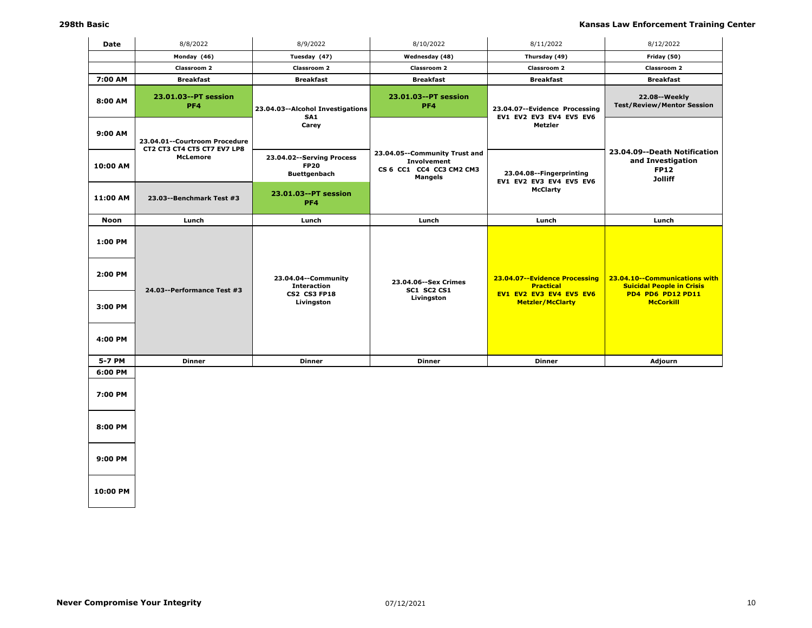| Date                          | 8/8/2022                                                     | 8/9/2022                                                                       | 8/10/2022                                                                           | 8/11/2022                                                                                               | 8/12/2022                                                                                                  |
|-------------------------------|--------------------------------------------------------------|--------------------------------------------------------------------------------|-------------------------------------------------------------------------------------|---------------------------------------------------------------------------------------------------------|------------------------------------------------------------------------------------------------------------|
|                               | Monday (46)                                                  | Tuesday (47)                                                                   | Wednesday (48)                                                                      | Thursday (49)                                                                                           | Friday (50)                                                                                                |
|                               | <b>Classroom 2</b>                                           | <b>Classroom 2</b>                                                             | <b>Classroom 2</b>                                                                  | Classroom 2                                                                                             | <b>Classroom 2</b>                                                                                         |
| 7:00 AM                       | <b>Breakfast</b>                                             | <b>Breakfast</b>                                                               | <b>Breakfast</b>                                                                    | <b>Breakfast</b>                                                                                        | <b>Breakfast</b>                                                                                           |
| 8:00 AM                       | 23.01.03--PT session<br>PF4                                  | 23.04.03--Alcohol Investigations<br>SA <sub>1</sub>                            | 23.01.03--PT session<br>PF <sub>4</sub>                                             | 23.04.07--Evidence Processing<br>EV1 EV2 EV3 EV4 EV5 EV6                                                | 22.08--Weekly<br><b>Test/Review/Mentor Session</b>                                                         |
| 9:00 AM                       | 23.04.01--Courtroom Procedure<br>CT2 CT3 CT4 CT5 CT7 EV7 LP8 | Carey                                                                          |                                                                                     | Metzler                                                                                                 |                                                                                                            |
| 10:00 AM                      | <b>McLemore</b>                                              | 23.04.02 -- Serving Process<br><b>FP20</b><br><b>Buettgenbach</b>              | 23.04.05--Community Trust and<br>Involvement<br>CS 6 CC1 CC4 CC3 CM2 CM3<br>Mangels | 23.04.08--Fingerprinting                                                                                | 23.04.09--Death Notification<br>and Investigation<br><b>FP12</b><br><b>Jolliff</b>                         |
| 11:00 AM                      | 23.03--Benchmark Test #3                                     | 23.01.03--PT session<br>PF4                                                    |                                                                                     | EV1 EV2 EV3 EV4 EV5 EV6<br><b>McClarty</b>                                                              |                                                                                                            |
| <b>Noon</b>                   | Lunch                                                        | Lunch                                                                          | Lunch                                                                               | Lunch                                                                                                   | Lunch                                                                                                      |
| 1:00 PM<br>2:00 PM<br>3:00 PM | 24.03--Performance Test #3                                   | 23.04.04--Community<br><b>Interaction</b><br><b>CS2 CS3 FP18</b><br>Livingston | 23.04.06 -- Sex Crimes<br>SC1 SC2 CS1<br>Livingston                                 | 23.04.07--Evidence Processing<br><b>Practical</b><br>EV1 EV2 EV3 EV4 EV5 EV6<br><b>Metzler/McClarty</b> | 23.04.10--Communications with<br><b>Suicidal People in Crisis</b><br>PD4 PD6 PD12 PD11<br><b>McCorkill</b> |
| 4:00 PM<br>5-7 PM             | <b>Dinner</b>                                                | <b>Dinner</b>                                                                  | <b>Dinner</b>                                                                       | <b>Dinner</b>                                                                                           | Adjourn                                                                                                    |
| 6:00 PM                       |                                                              |                                                                                |                                                                                     |                                                                                                         |                                                                                                            |
| 7:00 PM                       |                                                              |                                                                                |                                                                                     |                                                                                                         |                                                                                                            |
| 8:00 PM<br>9:00 PM            |                                                              |                                                                                |                                                                                     |                                                                                                         |                                                                                                            |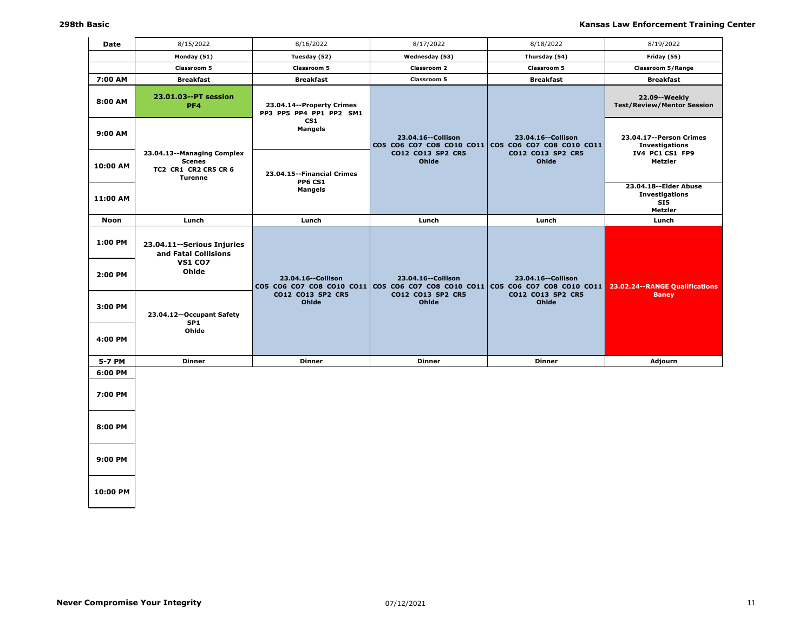| <b>Date</b>        | 8/15/2022                                                                             | 8/16/2022                                            | 8/17/2022                                         | 8/18/2022                                                                   | 8/19/2022                                                          |
|--------------------|---------------------------------------------------------------------------------------|------------------------------------------------------|---------------------------------------------------|-----------------------------------------------------------------------------|--------------------------------------------------------------------|
|                    | Monday (51)                                                                           | Tuesday (52)                                         | Wednesday (53)                                    | Thursday (54)                                                               | Friday (55)                                                        |
|                    | Classroom 5                                                                           | Classroom 5                                          | Classroom 2                                       | Classroom 5                                                                 | Classroom 5/Range                                                  |
| 7:00 AM            | <b>Breakfast</b>                                                                      | <b>Breakfast</b>                                     | <b>Classroom 5</b>                                | <b>Breakfast</b>                                                            | <b>Breakfast</b>                                                   |
| 8:00 AM            | 23.01.03--PT session<br>PF4                                                           | 23.04.14--Property Crimes<br>PP3 PP5 PP4 PP1 PP2 SM1 |                                                   |                                                                             | 22.09--Weekly<br><b>Test/Review/Mentor Session</b>                 |
| 9:00 AM            |                                                                                       | CS <sub>1</sub><br><b>Mangels</b>                    | 23.04.16 -- Collison                              | 23.04.16 -- Collison<br>CO5 CO6 CO7 CO8 CO10 CO11 CO5 CO6 CO7 CO8 CO10 CO11 | 23.04.17--Person Crimes<br><b>Investigations</b>                   |
| 10:00 AM           | 23.04.13--Managing Complex<br><b>Scenes</b><br>TC2 CR1 CR2 CR5 CR 6<br><b>Turenne</b> | 23.04.15 -- Financial Crimes<br><b>PP6 CS1</b>       | CO12 CO13 SP2 CR5<br>Ohlde                        | CO12 CO13 SP2 CR5<br>Ohlde                                                  | IV4 PC1 CS1 FP9<br>Metzler                                         |
| 11:00 AM           |                                                                                       | <b>Mangels</b>                                       |                                                   |                                                                             | 23.04.18 -- Elder Abuse<br><b>Investigations</b><br>SI5<br>Metzler |
| <b>Noon</b>        | Lunch                                                                                 | Lunch                                                | Lunch                                             | Lunch                                                                       | Lunch                                                              |
| 1:00 PM<br>2:00 PM | 23.04.11 -- Serious Injuries<br>and Fatal Collisions<br><b>VS1 CO7</b><br>Ohlde       | 23.04.16 -- Collison<br>CO5 CO6 CO7 CO8 CO10 CO11    | 23.04.16 -- Collison<br>CO5 CO6 CO7 CO8 CO10 CO11 | 23.04.16 -- Collison<br>CO5 CO6 CO7 CO8 CO10 CO11                           | 23.02.24 -- RANGE Qualifications                                   |
| 3:00 PM<br>4:00 PM | 23.04.12--Occupant Safety<br>SP <sub>1</sub><br>Ohlde                                 | CO12 CO13 SP2 CR5<br>Ohlde                           | CO12 CO13 SP2 CR5<br>Ohlde                        | CO12 CO13 SP2 CR5<br>Ohlde                                                  | <b>Baney</b>                                                       |
|                    |                                                                                       |                                                      |                                                   |                                                                             |                                                                    |
| 5-7 PM<br>6:00 PM  | <b>Dinner</b>                                                                         | <b>Dinner</b>                                        | <b>Dinner</b>                                     | <b>Dinner</b>                                                               | Adjourn                                                            |
| 7:00 PM            |                                                                                       |                                                      |                                                   |                                                                             |                                                                    |
| 8:00 PM            |                                                                                       |                                                      |                                                   |                                                                             |                                                                    |
| 9:00 PM            |                                                                                       |                                                      |                                                   |                                                                             |                                                                    |
| 10:00 PM           |                                                                                       |                                                      |                                                   |                                                                             |                                                                    |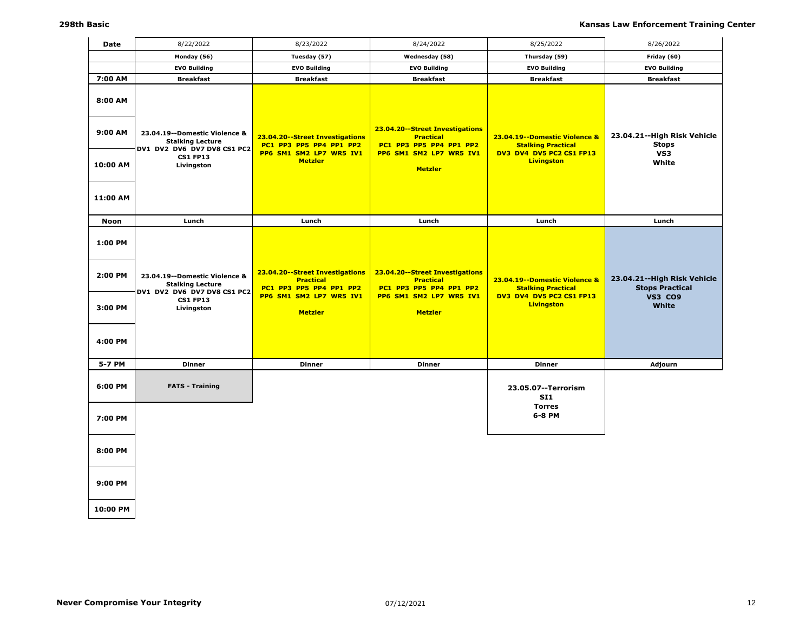| Date                                     | 8/22/2022                                                                                                                  | 8/23/2022                                                                                                                   | 8/24/2022                                                                                                                   | 8/25/2022                                                                                                   | 8/26/2022                                                                        |
|------------------------------------------|----------------------------------------------------------------------------------------------------------------------------|-----------------------------------------------------------------------------------------------------------------------------|-----------------------------------------------------------------------------------------------------------------------------|-------------------------------------------------------------------------------------------------------------|----------------------------------------------------------------------------------|
|                                          | Monday (56)                                                                                                                | Tuesday (57)                                                                                                                | Wednesday (58)                                                                                                              | Thursday (59)                                                                                               | Friday (60)                                                                      |
|                                          | <b>EVO Building</b>                                                                                                        | <b>EVO Building</b>                                                                                                         | <b>EVO Building</b>                                                                                                         | <b>EVO Building</b>                                                                                         | <b>EVO Building</b>                                                              |
| 7:00 AM                                  | <b>Breakfast</b>                                                                                                           | <b>Breakfast</b>                                                                                                            | <b>Breakfast</b>                                                                                                            | <b>Breakfast</b>                                                                                            | <b>Breakfast</b>                                                                 |
| 8:00 AM<br>9:00 AM                       | 23.04.19 -- Domestic Violence &<br><b>Stalking Lecture</b><br>DV1 DV2 DV6 DV7 DV8 CS1 PC2                                  | 23.04.20--Street Investigations<br>PC1 PP3 PP5 PP4 PP1 PP2                                                                  | 23.04.20--Street Investigations<br><b>Practical</b><br>PC1 PP3 PP5 PP4 PP1 PP2                                              | 23.04.19 -- Domestic Violence &<br><b>Stalking Practical</b>                                                | 23.04.21--High Risk Vehicle<br><b>Stops</b>                                      |
| 10:00 AM<br>11:00 AM                     | <b>CS1 FP13</b><br>Livingston                                                                                              | PP6 SM1 SM2 LP7 WR5 IV1<br><b>Metzler</b>                                                                                   | PP6 SM1 SM2 LP7 WR5 IV1<br><b>Metzler</b>                                                                                   | DV3 DV4 DV5 PC2 CS1 FP13<br><b>Livingston</b>                                                               | VS3<br>White                                                                     |
|                                          |                                                                                                                            |                                                                                                                             |                                                                                                                             |                                                                                                             |                                                                                  |
| Noon                                     | Lunch                                                                                                                      | Lunch                                                                                                                       | Lunch                                                                                                                       | Lunch                                                                                                       | Lunch                                                                            |
| 1:00 PM<br>2:00 PM<br>3:00 PM<br>4:00 PM | 23.04.19 -- Domestic Violence &<br><b>Stalking Lecture</b><br>DV1 DV2 DV6 DV7 DV8 CS1 PC2<br><b>CS1 FP13</b><br>Livingston | 23.04.20--Street Investigations<br><b>Practical</b><br>PC1 PP3 PP5 PP4 PP1 PP2<br>PP6 SM1 SM2 LP7 WR5 IV1<br><b>Metzler</b> | 23.04.20--Street Investigations<br><b>Practical</b><br>PC1 PP3 PP5 PP4 PP1 PP2<br>PP6 SM1 SM2 LP7 WR5 IV1<br><b>Metzler</b> | 23.04.19--Domestic Violence &<br><b>Stalking Practical</b><br>DV3 DV4 DV5 PC2 CS1 FP13<br><b>Livingston</b> | 23.04.21--High Risk Vehicle<br><b>Stops Practical</b><br><b>VS3 CO9</b><br>White |
| 5-7 PM                                   | <b>Dinner</b>                                                                                                              | <b>Dinner</b>                                                                                                               | <b>Dinner</b>                                                                                                               | <b>Dinner</b>                                                                                               | Adjourn                                                                          |
| 6:00 PM<br>7:00 PM                       | <b>FATS - Training</b>                                                                                                     |                                                                                                                             |                                                                                                                             | 23.05.07 -- Terrorism<br><b>SI1</b><br><b>Torres</b><br>6-8 PM                                              |                                                                                  |
| 8:00 PM<br>9:00 PM                       |                                                                                                                            |                                                                                                                             |                                                                                                                             |                                                                                                             |                                                                                  |
|                                          |                                                                                                                            |                                                                                                                             |                                                                                                                             |                                                                                                             |                                                                                  |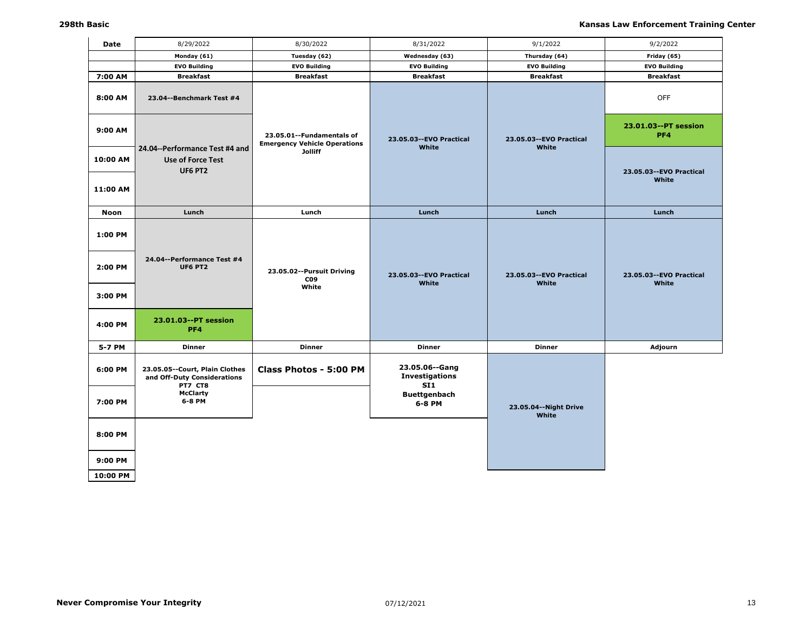| Date                | 8/29/2022                                                                    | 8/30/2022                                                          | 8/31/2022                                      | 9/1/2022                           | 9/2/2022                           |
|---------------------|------------------------------------------------------------------------------|--------------------------------------------------------------------|------------------------------------------------|------------------------------------|------------------------------------|
|                     | Monday (61)                                                                  | Tuesday (62)                                                       | Wednesday (63)                                 | Thursday (64)                      | Friday (65)                        |
|                     | <b>EVO Building</b>                                                          | <b>EVO Building</b>                                                | <b>EVO Building</b>                            | <b>EVO Building</b>                | <b>EVO Building</b>                |
| 7:00 AM             | <b>Breakfast</b>                                                             | <b>Breakfast</b>                                                   | <b>Breakfast</b>                               | <b>Breakfast</b>                   | <b>Breakfast</b>                   |
| 8:00 AM             | 23.04--Benchmark Test #4                                                     |                                                                    |                                                |                                    | <b>OFF</b>                         |
| 9:00 AM             |                                                                              | 23.05.01 -- Fundamentals of<br><b>Emergency Vehicle Operations</b> | 23.05.03 -- EVO Practical<br>White             | 23.05.03 -- EVO Practical<br>White | 23.01.03--PT session<br>PF4        |
| 10:00 AM            | 24.04--Performance Test #4 and<br><b>Use of Force Test</b><br><b>UF6 PT2</b> | <b>Jolliff</b>                                                     |                                                |                                    | 23.05.03 -- EVO Practical          |
| 11:00 AM            |                                                                              |                                                                    |                                                |                                    | White                              |
| <b>Noon</b>         | Lunch                                                                        | Lunch                                                              | Lunch                                          | Lunch                              | Lunch                              |
| 1:00 PM             | 24.04--Performance Test #4                                                   |                                                                    |                                                |                                    |                                    |
| 2:00 PM             | <b>UF6 PT2</b>                                                               | 23.05.02--Pursuit Driving<br>CO <sub>9</sub><br>White              | 23.05.03 -- EVO Practical<br>White             | 23.05.03 -- EVO Practical<br>White | 23.05.03 -- EVO Practical<br>White |
| 3:00 PM             |                                                                              |                                                                    |                                                |                                    |                                    |
| 4:00 PM             | 23.01.03--PT session<br>PF4                                                  |                                                                    |                                                |                                    |                                    |
| 5-7 PM              | <b>Dinner</b>                                                                | Dinner                                                             | <b>Dinner</b>                                  | <b>Dinner</b>                      | Adjourn                            |
| 6:00 PM             | 23.05.05--Court, Plain Clothes<br>and Off-Duty Considerations<br>PT7 CT8     | Class Photos - 5:00 PM                                             | 23.05.06--Gang<br><b>Investigations</b><br>SI1 |                                    |                                    |
| 7:00 PM             | <b>McClarty</b><br>6-8 PM                                                    |                                                                    | <b>Buettgenbach</b><br>6-8 PM                  | 23.05.04 -- Night Drive<br>White   |                                    |
| 8:00 PM             |                                                                              |                                                                    |                                                |                                    |                                    |
| 9:00 PM<br>10:00 PM |                                                                              |                                                                    |                                                |                                    |                                    |